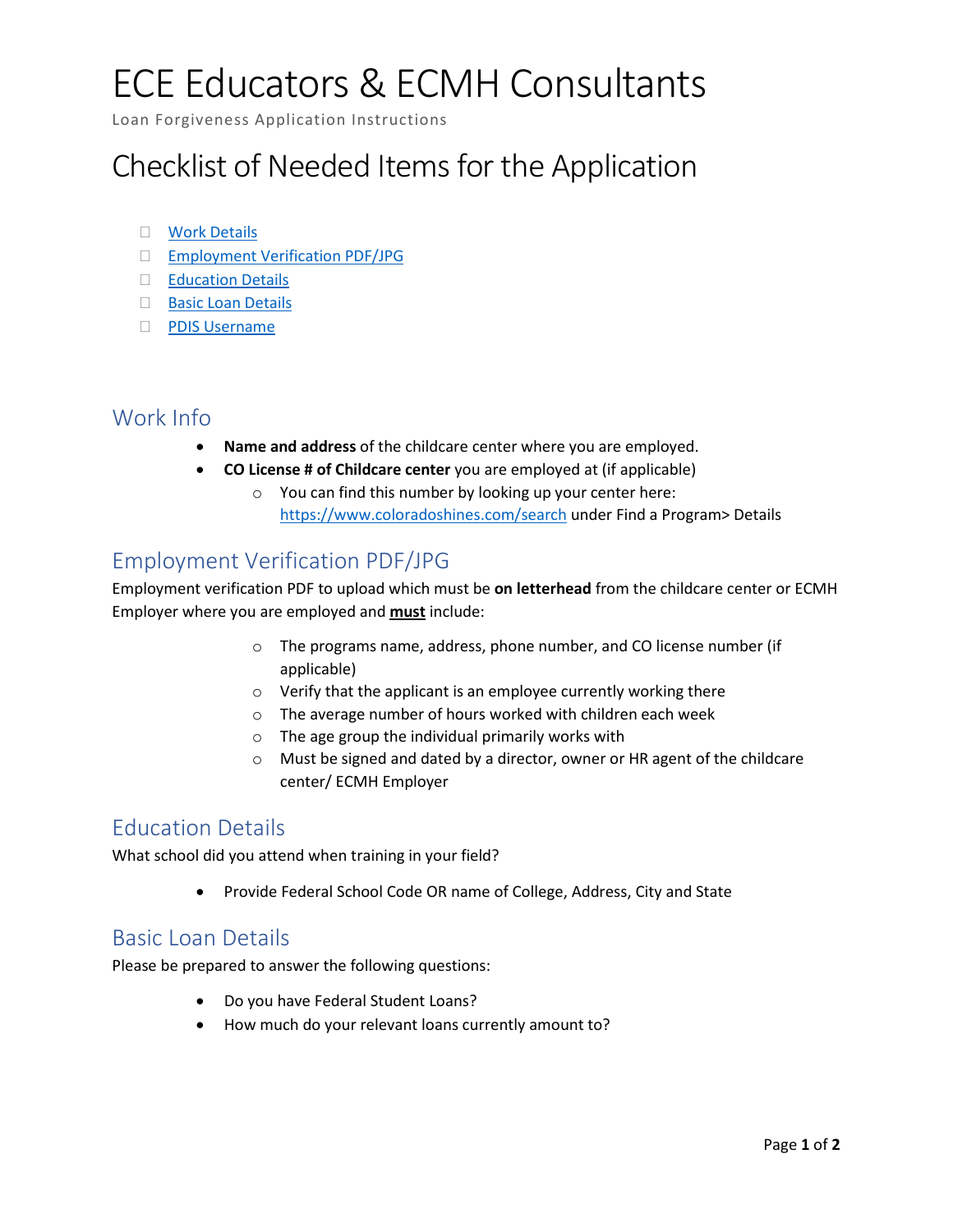# ECE Educators & ECMH Consultants

Loan Forgiveness Application Instructions

### Checklist of Needed Items for the Application

- Work Details
- Employment Verification PDF/JPG
- □ Education Details
- □ Basic Loan Details
- PDIS Username

#### Work Info

- **Name and address** of the childcare center where you are employed.
- **CO License # of Childcare center** you are employed at (if applicable)
	- o You can find this number by looking up your center here: https://www.coloradoshines.com/search under Find a Program> Details

### Employment Verification PDF/JPG

Employment verification PDF to upload which must be **on letterhead** from the childcare center or ECMH Employer where you are employed and **must** include:

- o The programs name, address, phone number, and CO license number (if applicable)
- o Verify that the applicant is an employee currently working there
- o The average number of hours worked with children each week
- $\circ$  The age group the individual primarily works with
- o Must be signed and dated by a director, owner or HR agent of the childcare center/ ECMH Employer

#### Education Details

What school did you attend when training in your field?

• Provide Federal School Code OR name of College, Address, City and State

#### Basic Loan Details

Please be prepared to answer the following questions:

- Do you have Federal Student Loans?
- How much do your relevant loans currently amount to?